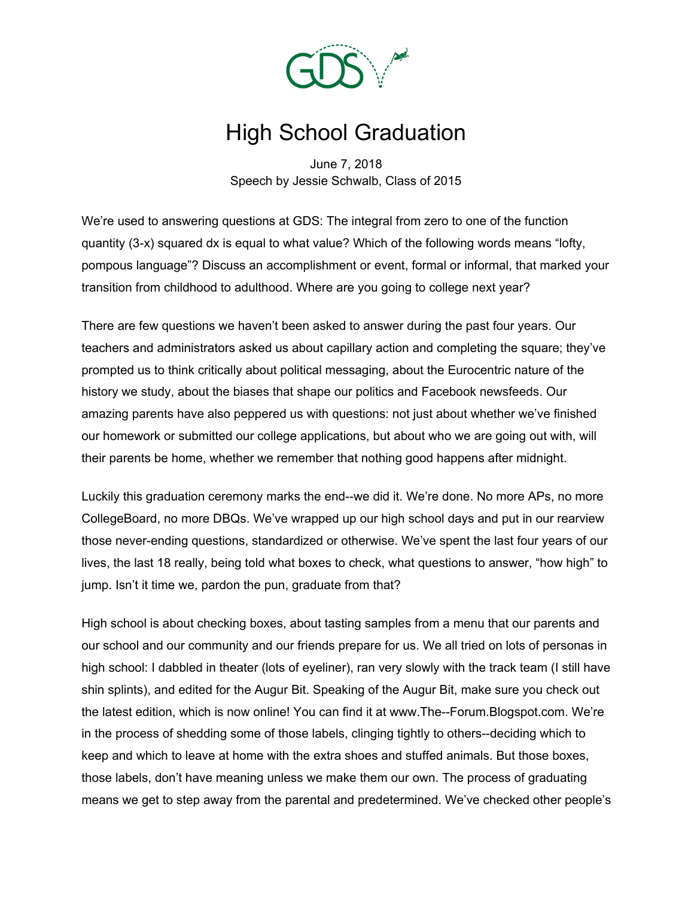

## High School Graduation

June 7, 2018 Speech by Jessie Schwalb, Class of 2015

We're used to answering questions at GDS: The integral from zero to one of the function quantity (3-x) squared dx is equal to what value? Which of the following words means "lofty, pompous language"? Discuss an accomplishment or event, formal or informal, that marked your transition from childhood to adulthood. Where are you going to college next year?

There are few questions we haven't been asked to answer during the past four years. Our teachers and administrators asked us about capillary action and completing the square; they've prompted us to think critically about political messaging, about the Eurocentric nature of the history we study, about the biases that shape our politics and Facebook newsfeeds. Our amazing parents have also peppered us with questions: not just about whether we've finished our homework or submitted our college applications, but about who we are going out with, will their parents be home, whether we remember that nothing good happens after midnight.

Luckily this graduation ceremony marks the end--we did it. We're done. No more APs, no more CollegeBoard, no more DBQs. We've wrapped up our high school days and put in our rearview those never-ending questions, standardized or otherwise. We've spent the last four years of our lives, the last 18 really, being told what boxes to check, what questions to answer, "how high" to jump. Isn't it time we, pardon the pun, graduate from that?

High school is about checking boxes, about tasting samples from a menu that our parents and our school and our community and our friends prepare for us. We all tried on lots of personas in high school: I dabbled in theater (lots of eyeliner), ran very slowly with the track team (I still have shin splints), and edited for the Augur Bit. Speaking of the Augur Bit, make sure you check out the latest edition, which is now online! You can find it at www.The--Forum.Blogspot.com. We're in the process of shedding some of those labels, clinging tightly to others--deciding which to keep and which to leave at home with the extra shoes and stuffed animals. But those boxes, those labels, don't have meaning unless we make them our own. The process of graduating means we get to step away from the parental and predetermined. We've checked other people's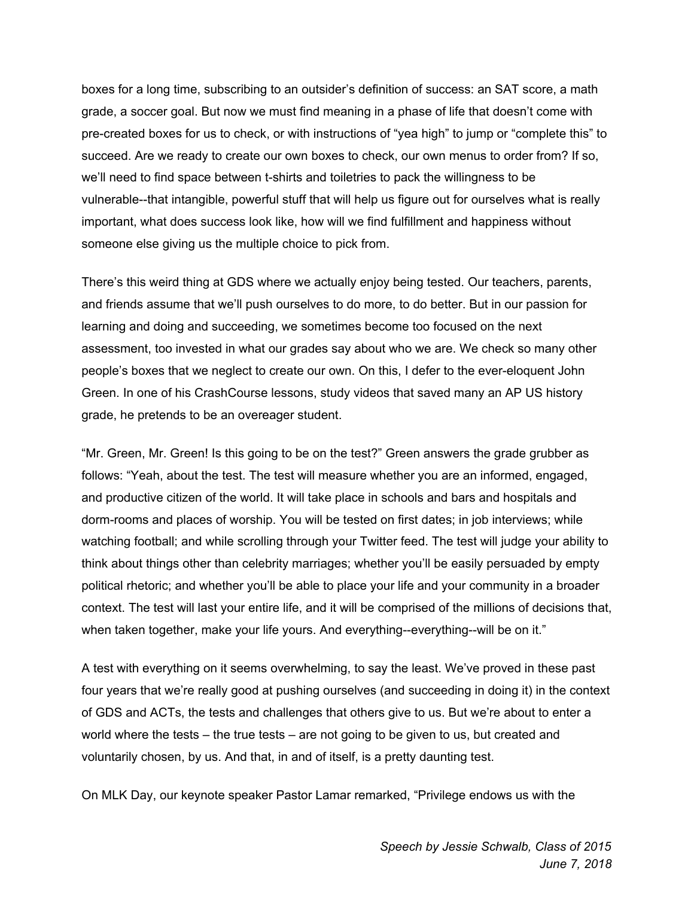boxes for a long time, subscribing to an outsider's definition of success: an SAT score, a math grade, a soccer goal. But now we must find meaning in a phase of life that doesn't come with pre-created boxes for us to check, or with instructions of "yea high" to jump or "complete this" to succeed. Are we ready to create our own boxes to check, our own menus to order from? If so, we'll need to find space between t-shirts and toiletries to pack the willingness to be vulnerable--that intangible, powerful stuff that will help us figure out for ourselves what is really important, what does success look like, how will we find fulfillment and happiness without someone else giving us the multiple choice to pick from.

There's this weird thing at GDS where we actually enjoy being tested. Our teachers, parents, and friends assume that we'll push ourselves to do more, to do better. But in our passion for learning and doing and succeeding, we sometimes become too focused on the next assessment, too invested in what our grades say about who we are. We check so many other people's boxes that we neglect to create our own. On this, I defer to the ever-eloquent John Green. In one of his CrashCourse lessons, study videos that saved many an AP US history grade, he pretends to be an overeager student.

"Mr. Green, Mr. Green! Is this going to be on the test?" Green answers the grade grubber as follows: "Yeah, about the test. The test will measure whether you are an informed, engaged, and productive citizen of the world. It will take place in schools and bars and hospitals and dorm-rooms and places of worship. You will be tested on first dates; in job interviews; while watching football; and while scrolling through your Twitter feed. The test will judge your ability to think about things other than celebrity marriages; whether you'll be easily persuaded by empty political rhetoric; and whether you'll be able to place your life and your community in a broader context. The test will last your entire life, and it will be comprised of the millions of decisions that, when taken together, make your life yours. And everything--everything--will be on it."

A test with everything on it seems overwhelming, to say the least. We've proved in these past four years that we're really good at pushing ourselves (and succeeding in doing it) in the context of GDS and ACTs, the tests and challenges that others give to us. But we're about to enter a world where the tests – the true tests – are not going to be given to us, but created and voluntarily chosen, by us. And that, in and of itself, is a pretty daunting test.

On MLK Day, our keynote speaker Pastor Lamar remarked, "Privilege endows us with the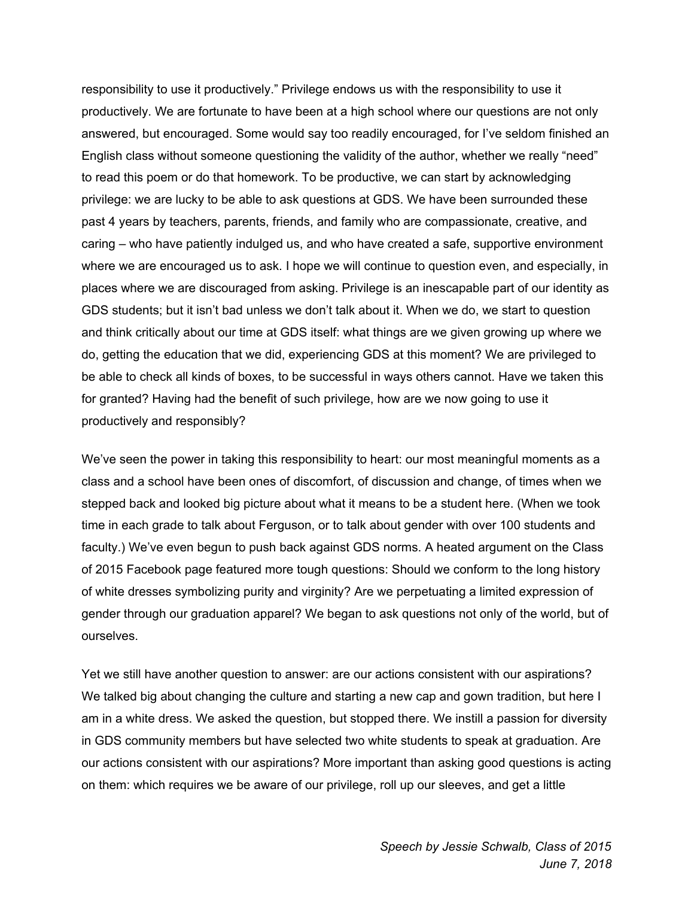responsibility to use it productively." Privilege endows us with the responsibility to use it productively. We are fortunate to have been at a high school where our questions are not only answered, but encouraged. Some would say too readily encouraged, for I've seldom finished an English class without someone questioning the validity of the author, whether we really "need" to read this poem or do that homework. To be productive, we can start by acknowledging privilege: we are lucky to be able to ask questions at GDS. We have been surrounded these past 4 years by teachers, parents, friends, and family who are compassionate, creative, and caring – who have patiently indulged us, and who have created a safe, supportive environment where we are encouraged us to ask. I hope we will continue to question even, and especially, in places where we are discouraged from asking. Privilege is an inescapable part of our identity as GDS students; but it isn't bad unless we don't talk about it. When we do, we start to question and think critically about our time at GDS itself: what things are we given growing up where we do, getting the education that we did, experiencing GDS at this moment? We are privileged to be able to check all kinds of boxes, to be successful in ways others cannot. Have we taken this for granted? Having had the benefit of such privilege, how are we now going to use it productively and responsibly?

We've seen the power in taking this responsibility to heart: our most meaningful moments as a class and a school have been ones of discomfort, of discussion and change, of times when we stepped back and looked big picture about what it means to be a student here. (When we took time in each grade to talk about Ferguson, or to talk about gender with over 100 students and faculty.) We've even begun to push back against GDS norms. A heated argument on the Class of 2015 Facebook page featured more tough questions: Should we conform to the long history of white dresses symbolizing purity and virginity? Are we perpetuating a limited expression of gender through our graduation apparel? We began to ask questions not only of the world, but of ourselves.

Yet we still have another question to answer: are our actions consistent with our aspirations? We talked big about changing the culture and starting a new cap and gown tradition, but here I am in a white dress. We asked the question, but stopped there. We instill a passion for diversity in GDS community members but have selected two white students to speak at graduation. Are our actions consistent with our aspirations? More important than asking good questions is acting on them: which requires we be aware of our privilege, roll up our sleeves, and get a little